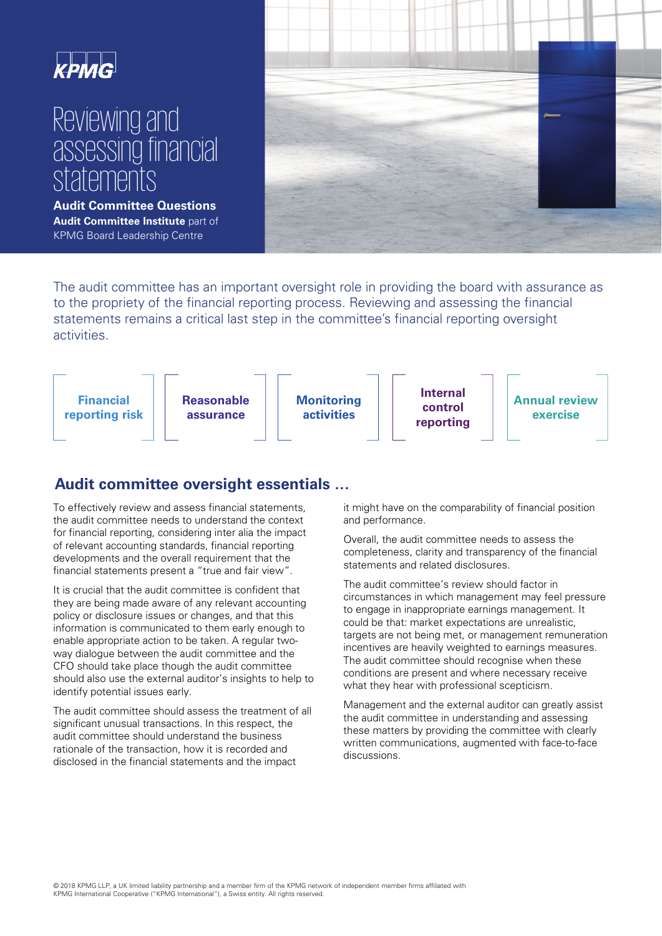# Reviewing and assessing financial **statements**

**Audit Committee Questions Audit Committee Institute** part of KPMG Board Leadership Centre



The audit committee has an important oversight role in providing the board with assurance as to the propriety of the financial reporting process. Reviewing and assessing the financial statements remains a critical last step in the committee's financial reporting oversight activities.



# **Audit committee oversight essentials …**

To effectively review and assess financial statements, the audit committee needs to understand the context for financial reporting, considering inter alia the impact of relevant accounting standards, financial reporting developments and the overall requirement that the financial statements present a "true and fair view".

It is crucial that the audit committee is confident that they are being made aware of any relevant accounting policy or disclosure issues or changes, and that this information is communicated to them early enough to enable appropriate action to be taken. A regular twoway dialogue between the audit committee and the CFO should take place though the audit committee should also use the external auditor's insights to help to identify potential issues early.

The audit committee should assess the treatment of all significant unusual transactions. In this respect, the audit committee should understand the business rationale of the transaction, how it is recorded and disclosed in the financial statements and the impact

it might have on the comparability of financial position and performance.

Overall, the audit committee needs to assess the completeness, clarity and transparency of the financial statements and related disclosures.

The audit committee's review should factor in circumstances in which management may feel pressure to engage in inappropriate earnings management. It could be that: market expectations are unrealistic, targets are not being met, or management remuneration incentives are heavily weighted to earnings measures. The audit committee should recognise when these conditions are present and where necessary receive what they hear with professional scepticism.

Management and the external auditor can greatly assist the audit committee in understanding and assessing these matters by providing the committee with clearly written communications, augmented with face-to-face discussions.